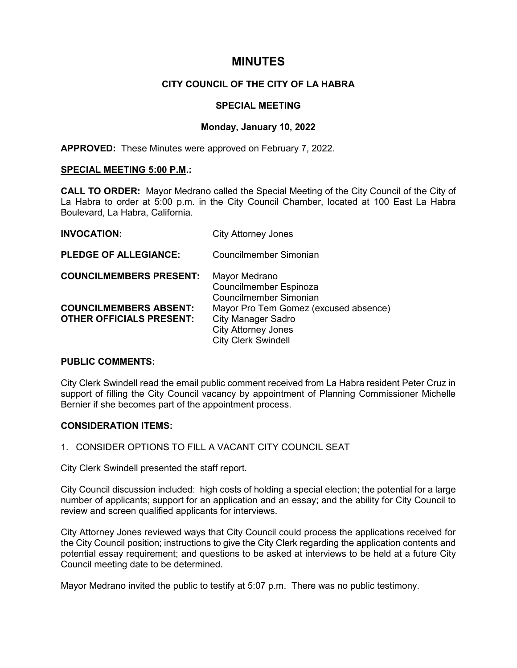# **MINUTES**

# **CITY COUNCIL OF THE CITY OF LA HABRA**

## **SPECIAL MEETING**

# **Monday, January 10, 2022**

**APPROVED:** These Minutes were approved on February 7, 2022.

## **SPECIAL MEETING 5:00 P.M.:**

**CALL TO ORDER:** Mayor Medrano called the Special Meeting of the City Council of the City of La Habra to order at 5:00 p.m. in the City Council Chamber, located at 100 East La Habra Boulevard, La Habra, California.

| <b>INVOCATION:</b>                                               | <b>City Attorney Jones</b>                                                                                                     |
|------------------------------------------------------------------|--------------------------------------------------------------------------------------------------------------------------------|
| <b>PLEDGE OF ALLEGIANCE:</b>                                     | Councilmember Simonian                                                                                                         |
| <b>COUNCILMEMBERS PRESENT:</b>                                   | Mayor Medrano<br><b>Councilmember Espinoza</b><br>Councilmember Simonian                                                       |
| <b>COUNCILMEMBERS ABSENT:</b><br><b>OTHER OFFICIALS PRESENT:</b> | Mayor Pro Tem Gomez (excused absence)<br><b>City Manager Sadro</b><br><b>City Attorney Jones</b><br><b>City Clerk Swindell</b> |

# **PUBLIC COMMENTS:**

City Clerk Swindell read the email public comment received from La Habra resident Peter Cruz in support of filling the City Council vacancy by appointment of Planning Commissioner Michelle Bernier if she becomes part of the appointment process.

## **CONSIDERATION ITEMS:**

# 1. CONSIDER OPTIONS TO FILL A VACANT CITY COUNCIL SEAT

City Clerk Swindell presented the staff report.

City Council discussion included: high costs of holding a special election; the potential for a large number of applicants; support for an application and an essay; and the ability for City Council to review and screen qualified applicants for interviews.

City Attorney Jones reviewed ways that City Council could process the applications received for the City Council position; instructions to give the City Clerk regarding the application contents and potential essay requirement; and questions to be asked at interviews to be held at a future City Council meeting date to be determined.

Mayor Medrano invited the public to testify at 5:07 p.m. There was no public testimony.